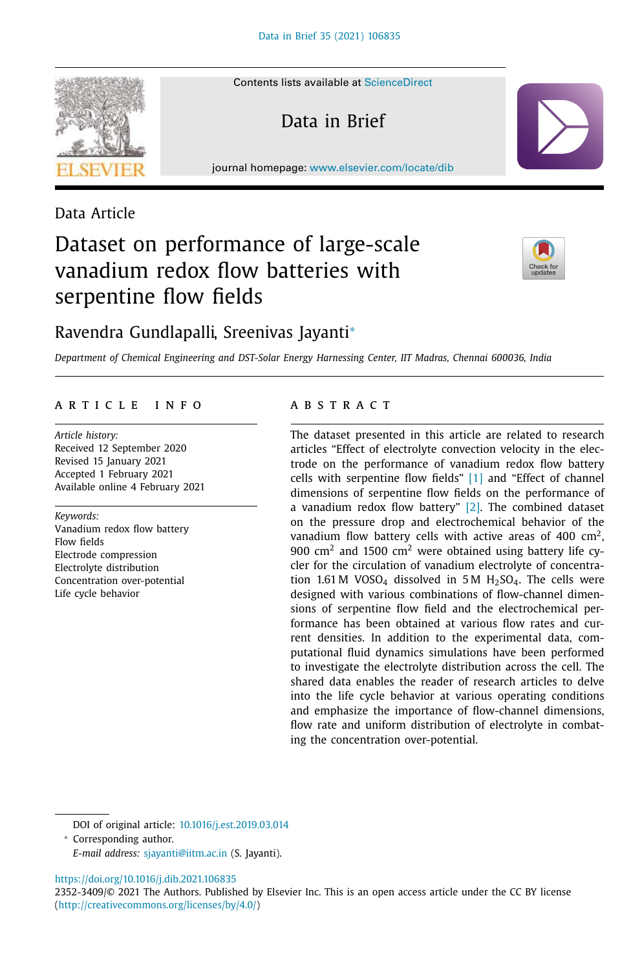Contents lists available at ScienceDirect

Data in Brief

journal homepage: www.elsevier.com/locate/dib

# Data Article

# Dataset on performance of large-scale vanadium redox flow batteries with serpentine flow fields



# Ravendra Gundlapalli, Sreenivas Jayanti<sup>∗</sup>

*Department of Chemical Engineering and DST-Solar Energy Harnessing Center, IIT Madras, Chennai 600036, India*

### a r t i c l e i n f o

*Article history:* Received 12 September 2020 Revised 15 January 2021 Accepted 1 February 2021 Available online 4 February 2021

*Keywords:* Vanadium redox flow battery Flow fields Electrode compression Electrolyte distribution Concentration over-potential Life cycle behavior

# a b s t r a c t

The dataset presented in this article are related to research articles "Effect of electrolyte convection velocity in the electrode on the performance of vanadium redox flow battery cells with serpentine flow fields"  $[1]$  and "Effect of channel dimensions of serpentine flow fields on the performance of a vanadium redox flow battery"  $[2]$ . The combined dataset on the pressure drop and electrochemical behavior of the vanadium flow battery cells with active areas of 400  $\text{cm}^2,$ 900  $\text{cm}^2$  and 1500  $\text{cm}^2$  were obtained using battery life cycler for the circulation of vanadium electrolyte of concentration 1.61 M VOSO<sub>4</sub> dissolved in 5 M H<sub>2</sub>SO<sub>4</sub>. The cells were designed with various combinations of flow-channel dimensions of serpentine flow field and the electrochemical performance has been obtained at various flow rates and current densities. In addition to the experimental data, computational fluid dynamics simulations have been performed to investigate the electrolyte distribution across the cell. The shared data enables the reader of research articles to delve into the life cycle behavior at various operating conditions and emphasize the importance of flow-channel dimensions, flow rate and uniform distribution of electrolyte in combating the concentration over-potential.

DOI of original article: 10.1016/j.est.2019.03.014

<sup>∗</sup> Corresponding author.

*E-mail address:* sjayanti@iitm.ac.in (S. Jayanti).

https://doi.org/10.1016/j.dib.2021.106835

2352-3409/© 2021 The Authors. Published by Elsevier Inc. This is an open access article under the CC BY license (http://creativecommons.org/licenses/by/4.0/)

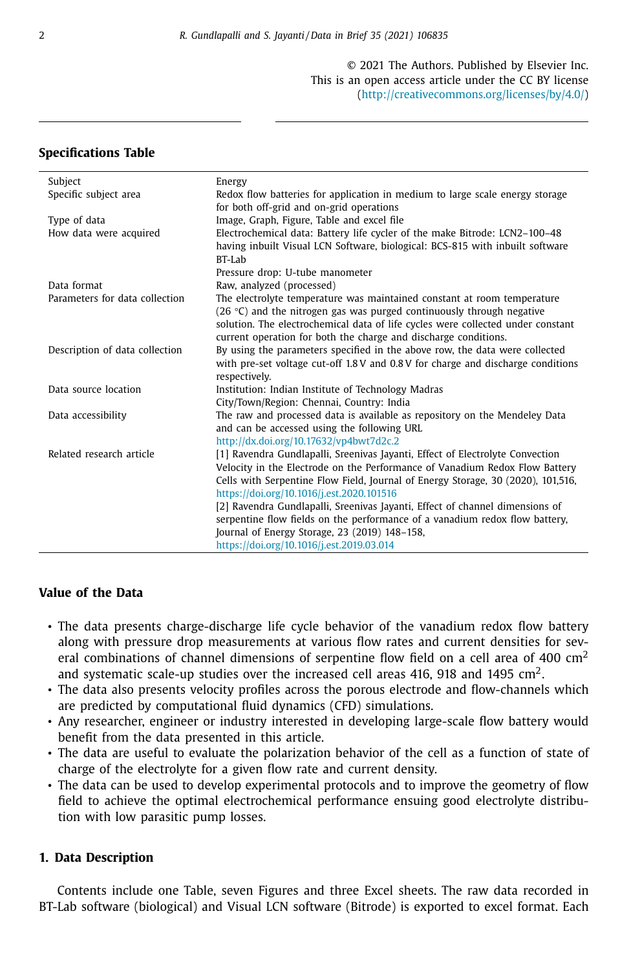© 2021 The Authors. Published by Elsevier Inc. This is an open access article under the CC BY license (http://creativecommons.org/licenses/by/4.0/)

# **Specifications Table**

| Subject                        | Energy                                                                                                                                             |
|--------------------------------|----------------------------------------------------------------------------------------------------------------------------------------------------|
| Specific subject area          | Redox flow batteries for application in medium to large scale energy storage                                                                       |
|                                | for both off-grid and on-grid operations                                                                                                           |
| Type of data                   | Image, Graph, Figure, Table and excel file                                                                                                         |
| How data were acquired         | Electrochemical data: Battery life cycler of the make Bitrode: LCN2-100-48                                                                         |
|                                | having inbuilt Visual LCN Software, biological: BCS-815 with inbuilt software                                                                      |
|                                | BT-Lab                                                                                                                                             |
|                                | Pressure drop: U-tube manometer                                                                                                                    |
| Data format                    | Raw, analyzed (processed)                                                                                                                          |
| Parameters for data collection | The electrolyte temperature was maintained constant at room temperature                                                                            |
|                                | $(26 °C)$ and the nitrogen gas was purged continuously through negative                                                                            |
|                                | solution. The electrochemical data of life cycles were collected under constant<br>current operation for both the charge and discharge conditions. |
| Description of data collection | By using the parameters specified in the above row, the data were collected                                                                        |
|                                | with pre-set voltage cut-off $1.8V$ and $0.8V$ for charge and discharge conditions                                                                 |
|                                | respectively.                                                                                                                                      |
| Data source location           | Institution: Indian Institute of Technology Madras                                                                                                 |
|                                | City/Town/Region: Chennai, Country: India                                                                                                          |
| Data accessibility             | The raw and processed data is available as repository on the Mendeley Data                                                                         |
|                                | and can be accessed using the following URL                                                                                                        |
|                                | http://dx.doi.org/10.17632/vp4bwt7d2c.2                                                                                                            |
| Related research article       | [1] Ravendra Gundlapalli, Sreenivas Jayanti, Effect of Electrolyte Convection                                                                      |
|                                | Velocity in the Electrode on the Performance of Vanadium Redox Flow Battery                                                                        |
|                                | Cells with Serpentine Flow Field, Journal of Energy Storage, 30 (2020), 101,516,                                                                   |
|                                | https://doi.org/10.1016/j.est.2020.101516                                                                                                          |
|                                | [2] Ravendra Gundlapalli, Sreenivas Jayanti, Effect of channel dimensions of                                                                       |
|                                | serpentine flow fields on the performance of a vanadium redox flow battery,                                                                        |
|                                | Journal of Energy Storage, 23 (2019) 148-158,                                                                                                      |
|                                | https://doi.org/10.1016/j.est.2019.03.014                                                                                                          |

# **Value of the Data**

- The data presents charge-discharge life cycle behavior of the vanadium redox flow battery along with pressure drop measurements at various flow rates and current densities for several combinations of channel dimensions of serpentine flow field on a cell area of 400  $\text{cm}^2$ and systematic scale-up studies over the increased cell areas 416, 918 and 1495 cm<sup>2</sup>.
- The data also presents velocity profiles across the porous electrode and flow-channels which are predicted by computational fluid dynamics (CFD) simulations.
- Any researcher, engineer or industry interested in developing large-scale flow battery would benefit from the data presented in this article.
- The data are useful to evaluate the polarization behavior of the cell as a function of state of charge of the electrolyte for a given flow rate and current density.
- The data can be used to develop experimental protocols and to improve the geometry of flow field to achieve the optimal electrochemical performance ensuing good electrolyte distribution with low parasitic pump losses.

#### **1. Data Description**

Contents include one Table, seven Figures and three Excel sheets. The raw data recorded in BT-Lab software (biological) and Visual LCN software (Bitrode) is exported to excel format. Each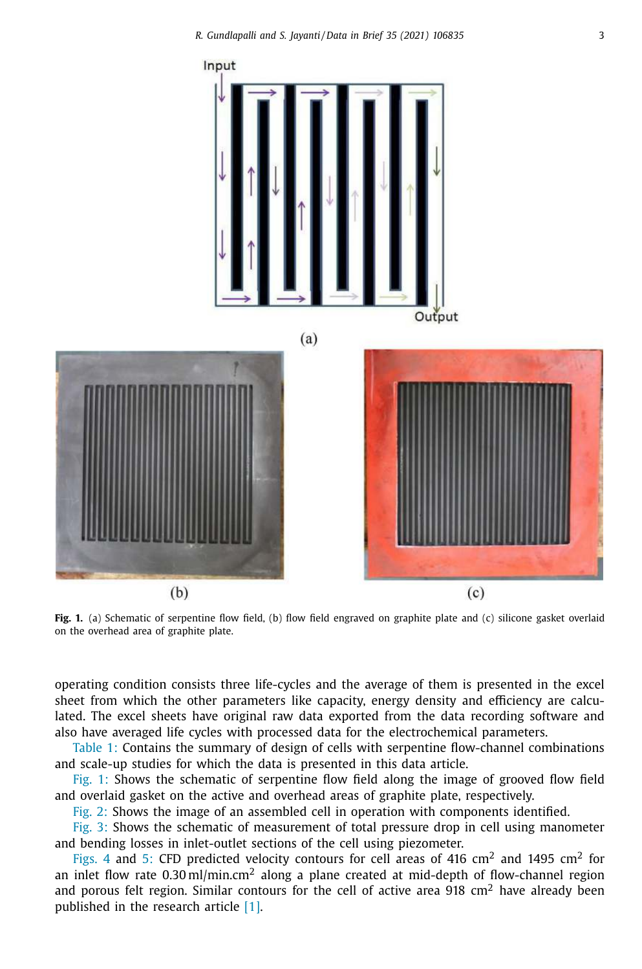



operating condition consists three life-cycles and the average of them is presented in the excel sheet from which the other parameters like capacity, energy density and efficiency are calculated. The excel sheets have original raw data exported from the data recording software and also have averaged life cycles with processed data for the electrochemical parameters.

Table 1: Contains the summary of design of cells with serpentine flow-channel combinations and scale-up studies for which the data is presented in this data article.

Fig. 1: Shows the schematic of serpentine flow field along the image of grooved flow field and overlaid gasket on the active and overhead areas of graphite plate, respectively.

Fig. 2: Shows the image of an assembled cell in operation with components identified.

Fig. 3: Shows the schematic of measurement of total pressure drop in cell using manometer and bending losses in inlet-outlet sections of the cell using piezometer.

Figs. 4 and 5: CFD predicted velocity contours for cell areas of 416 cm<sup>2</sup> and 1495 cm<sup>2</sup> for an inlet flow rate  $0.30$  ml/min.cm<sup>2</sup> along a plane created at mid-depth of flow-channel region and porous felt region. Similar contours for the cell of active area 918  $\text{cm}^2$  have already been published in the research article [1].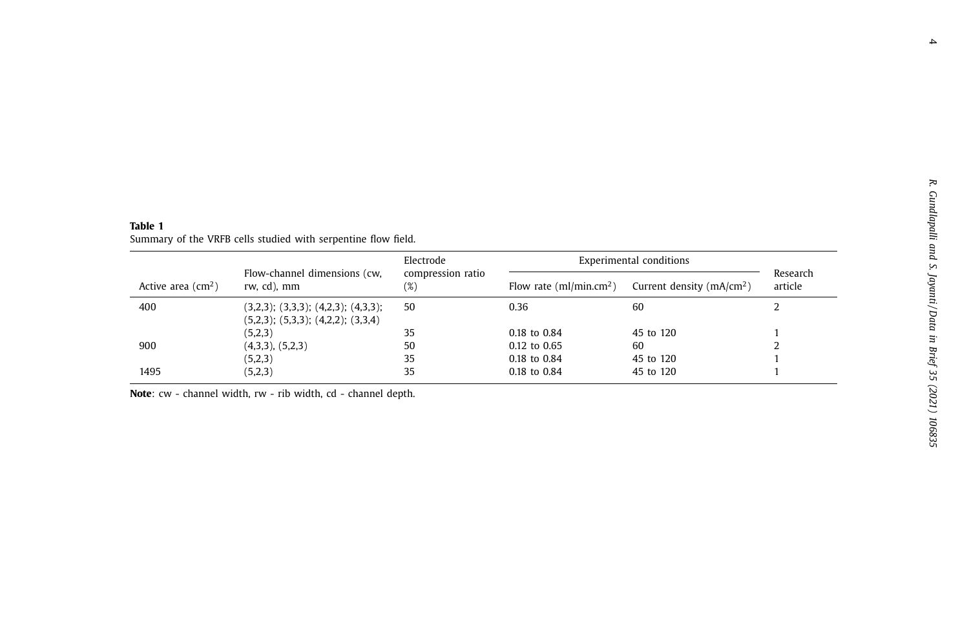| Active area $\text{cm}^2$ ) | Flow-channel dimensions (cw,<br>rw, cd), mm                                               | Electrode<br>compression ratio<br>(%) | <b>Experimental conditions</b> |                            |                     |
|-----------------------------|-------------------------------------------------------------------------------------------|---------------------------------------|--------------------------------|----------------------------|---------------------|
|                             |                                                                                           |                                       | Flow rate $(ml/min, cm2)$      | Current density $(mA/cm2)$ | Research<br>article |
| 400                         | $(3,2,3);$ $(3,3,3);$ $(4,2,3);$ $(4,3,3);$<br>$(5,2,3);$ $(5,3,3);$ $(4,2,2);$ $(3,3,4)$ | 50                                    | 0.36                           | 60                         |                     |
|                             | (5,2,3)                                                                                   | 35                                    | $0.18$ to $0.84$               | 45 to 120                  |                     |
| 900                         | $(4,3,3)$ , $(5,2,3)$                                                                     | 50                                    | 0.12 to 0.65                   | 60                         |                     |
|                             | (5,2,3)                                                                                   | 35                                    | 0.18 to 0.84                   | 45 to 120                  |                     |
| 1495                        | (5,2,3)                                                                                   | 35                                    | 0.18 to 0.84                   | 45 to 120                  |                     |

| Table 1                                                       |  |  |  |  |
|---------------------------------------------------------------|--|--|--|--|
| Summary of the VRFB cells studied with serpentine flow field. |  |  |  |  |

**Note**: cw - channel width, rw - rib width, cd - channel depth.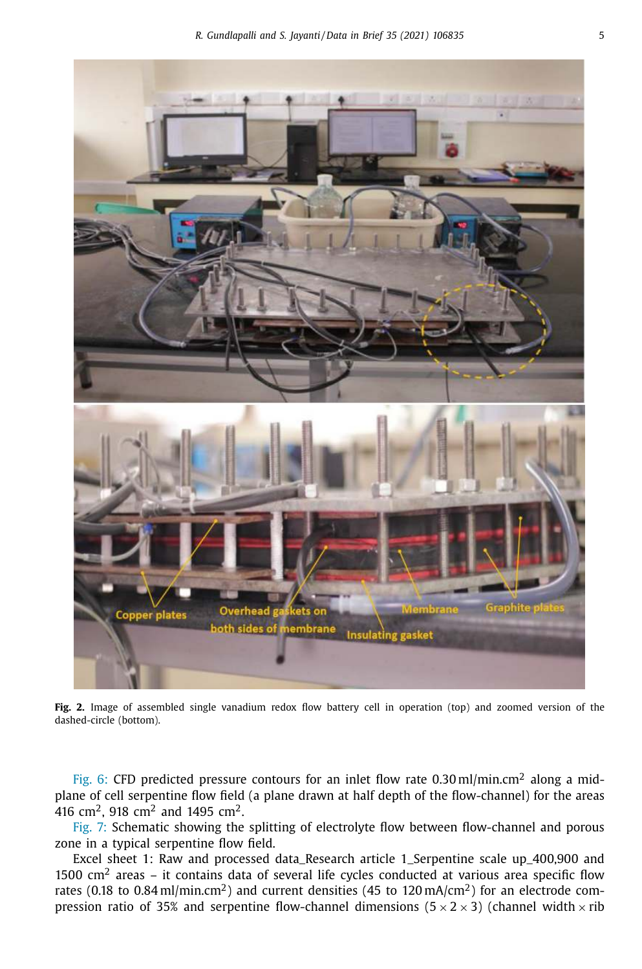

**Fig. 2.** Image of assembled single vanadium redox flow battery cell in operation (top) and zoomed version of the dashed-circle (bottom).

Fig. 6: CFD predicted pressure contours for an inlet flow rate 0.30 ml/min.cm<sup>2</sup> along a midplane of cell serpentine flow field (a plane drawn at half depth of the flow-channel) for the areas 416 cm<sup>2</sup>, 918 cm<sup>2</sup> and 1495 cm<sup>2</sup>.

Fig. 7: Schematic showing the splitting of electrolyte flow between flow-channel and porous zone in a typical serpentine flow field.

Excel sheet 1: Raw and processed data\_Research article 1\_Serpentine scale up\_400,900 and 1500  $\text{cm}^2$  areas – it contains data of several life cycles conducted at various area specific flow rates (0.18 to 0.84 ml/min.cm<sup>2</sup>) and current densities (45 to 120 mA/cm<sup>2</sup>) for an electrode compression ratio of 35% and serpentine flow-channel dimensions  $(5 \times 2 \times 3)$  (channel width  $\times$  rib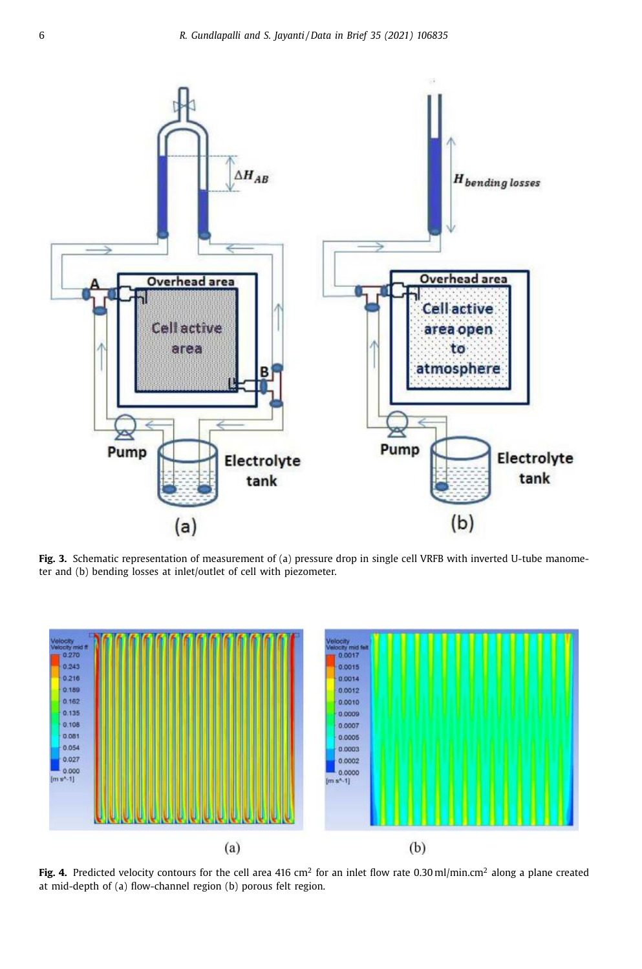

**Fig. 3.** Schematic representation of measurement of (a) pressure drop in single cell VRFB with inverted U-tube manometer and (b) bending losses at inlet/outlet of cell with piezometer.



**Fig. 4.** Predicted velocity contours for the cell area 416 cm<sup>2</sup> for an inlet flow rate 0.30 ml/min.cm<sup>2</sup> along a plane created at mid-depth of (a) flow-channel region (b) porous felt region.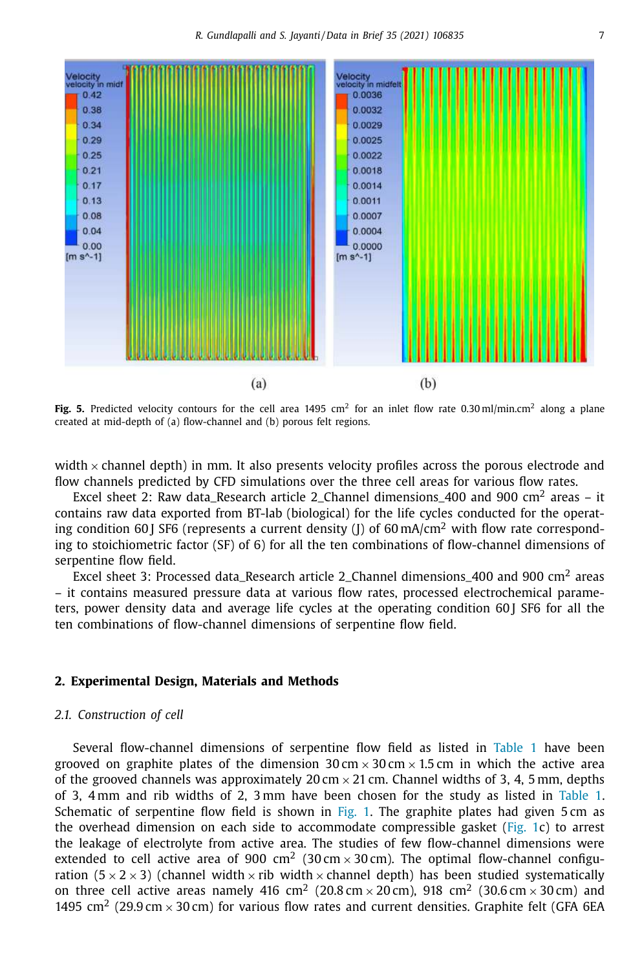

**Fig. 5.** Predicted velocity contours for the cell area 1495 cm<sup>2</sup> for an inlet flow rate 0.30 ml/min.cm<sup>2</sup> along a plane created at mid-depth of (a) flow-channel and (b) porous felt regions.

width  $\times$  channel depth) in mm. It also presents velocity profiles across the porous electrode and flow channels predicted by CFD simulations over the three cell areas for various flow rates.

Excel sheet 2: Raw data\_Research article 2\_Channel dimensions\_400 and 900  $\text{cm}^2$  areas – it contains raw data exported from BT-lab (biological) for the life cycles conducted for the operating condition 60 J SF6 (represents a current density (I) of 60 mA/cm<sup>2</sup> with flow rate corresponding to stoichiometric factor (SF) of 6) for all the ten combinations of flow-channel dimensions of serpentine flow field.

Excel sheet 3: Processed data\_Research article 2\_Channel dimensions\_400 and 900 cm<sup>2</sup> areas – it contains measured pressure data at various flow rates, processed electrochemical parameters, power density data and average life cycles at the operating condition 60 J SF6 for all the ten combinations of flow-channel dimensions of serpentine flow field.

#### **2. Experimental Design, Materials and Methods**

#### *2.1. Construction of cell*

Several flow-channel dimensions of serpentine flow field as listed in Table 1 have been grooved on graphite plates of the dimension  $30 \text{ cm} \times 30 \text{ cm} \times 1.5 \text{ cm}$  in which the active area of the grooved channels was approximately 20 cm  $\times$  21 cm. Channel widths of 3, 4, 5 mm, depths of 3, 4 mm and rib widths of 2, 3 mm have been chosen for the study as listed in Table 1. Schematic of serpentine flow field is shown in Fig. 1. The graphite plates had given 5 cm as the overhead dimension on each side to accommodate compressible gasket (Fig. 1c) to arrest the leakage of electrolyte from active area. The studies of few flow-channel dimensions were extended to cell active area of 900 cm<sup>2</sup> (30 cm  $\times$  30 cm). The optimal flow-channel configuration ( $5 \times 2 \times 3$ ) (channel width  $\times$  rib width  $\times$  channel depth) has been studied systematically on three cell active areas namely 416 cm<sup>2</sup> (20.8 cm  $\times$  20 cm), 918 cm<sup>2</sup> (30.6 cm  $\times$  30 cm) and 1495 cm<sup>2</sup> (29.9 cm  $\times$  30 cm) for various flow rates and current densities. Graphite felt (GFA 6EA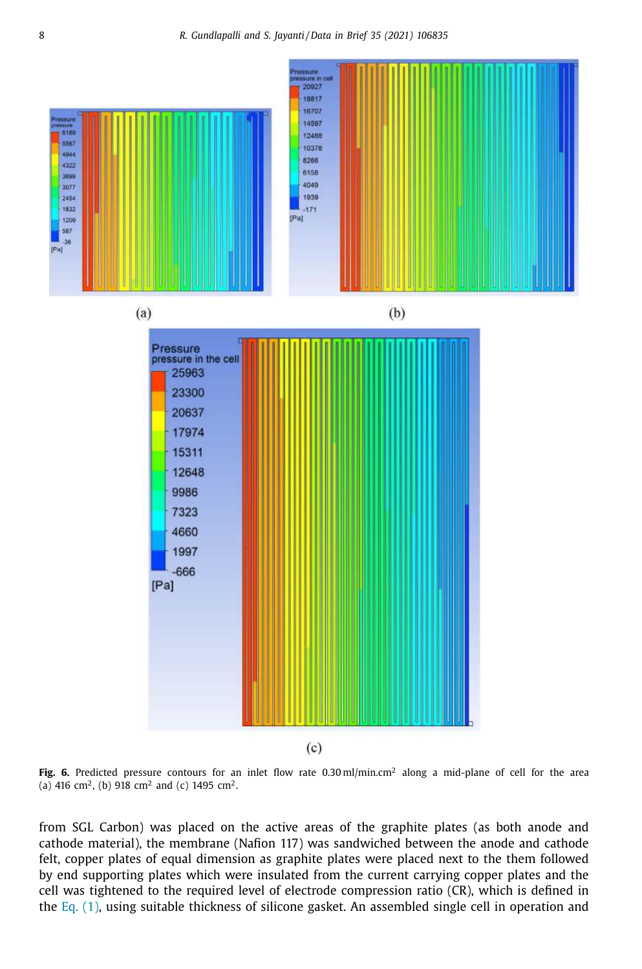

**Fig. 6.** Predicted pressure contours for an inlet flow rate 0.30 ml/min.cm<sup>2</sup> along a mid-plane of cell for the area (a) 416 cm<sup>2</sup>, (b) 918 cm<sup>2</sup> and (c) 1495 cm<sup>2</sup>.

from SGL Carbon) was placed on the active areas of the graphite plates (as both anode and cathode material), the membrane (Nafion 117) was sandwiched between the anode and cathode felt, copper plates of equal dimension as graphite plates were placed next to the them followed by end supporting plates which were insulated from the current carrying copper plates and the cell was tightened to the required level of electrode compression ratio (CR), which is defined in the Eq. (1), using suitable thickness of silicone gasket. An assembled single cell in operation and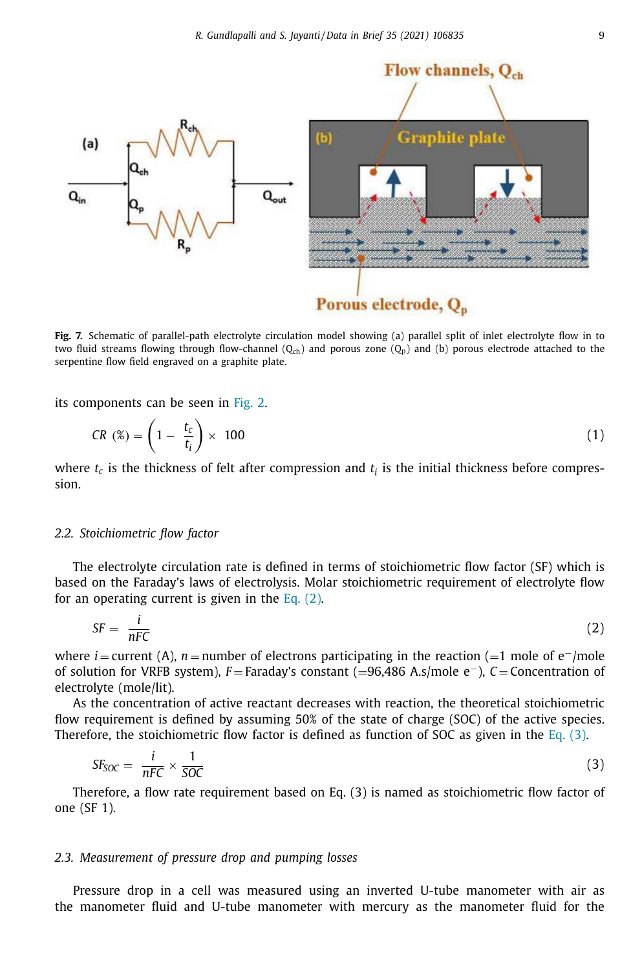

**Fig. 7.** Schematic of parallel-path electrolyte circulation model showing (a) parallel split of inlet electrolyte flow in to two fluid streams flowing through flow-channel  $(Q_{ch})$  and porous zone  $(Q_p)$  and (b) porous electrode attached to the serpentine flow field engraved on a graphite plate.

its components can be seen in Fig. 2.

$$
CR\,\left(\mathscr{E}\right) = \left(1 - \frac{t_c}{t_i}\right) \times \,100\tag{1}
$$

where  $t_c$  is the thickness of felt after compression and  $t_i$  is the initial thickness before compression.

#### *2.2. Stoichiometric flow factor*

The electrolyte circulation rate is defined in terms of stoichiometric flow factor (SF) which is based on the Faraday's laws of electrolysis. Molar stoichiometric requirement of electrolyte flow for an operating current is given in the Eq. (2).

$$
SF = \frac{i}{nFC} \tag{2}
$$

where *i* = current (A), *n* = number of electrons participating in the reaction (=1 mole of e<sup>-</sup>/mole of solution for VRFB system), *F* = Faraday's constant (=96,486 A.s/mole e<sup>−</sup>), *C* = Concentration of electrolyte (mole/lit).

As the concentration of active reactant decreases with reaction, the theoretical stoichiometric flow requirement is defined by assuming 50% of the state of charge (SOC) of the active species. Therefore, the stoichiometric flow factor is defined as function of SOC as given in the Eq.  $(3)$ .

$$
SF_{SOC} = \frac{i}{nFC} \times \frac{1}{SOC} \tag{3}
$$

Therefore, a flow rate requirement based on Eq. (3) is named as stoichiometric flow factor of one (SF 1).

#### *2.3. Measurement of pressure drop and pumping losses*

Pressure drop in a cell was measured using an inverted U-tube manometer with air as the manometer fluid and U-tube manometer with mercury as the manometer fluid for the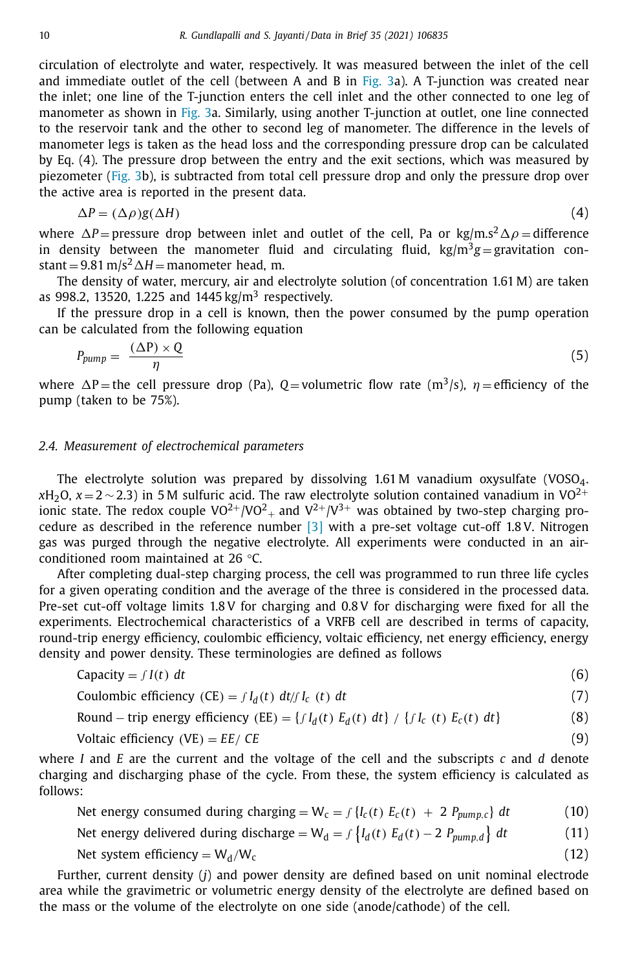circulation of electrolyte and water, respectively. It was measured between the inlet of the cell and immediate outlet of the cell (between A and B in Fig. 3a). A T-junction was created near the inlet; one line of the T-junction enters the cell inlet and the other connected to one leg of manometer as shown in Fig. 3a. Similarly, using another T-junction at outlet, one line connected to the reservoir tank and the other to second leg of manometer. The difference in the levels of manometer legs is taken as the head loss and the corresponding pressure drop can be calculated by Eq. (4). The pressure drop between the entry and the exit sections, which was measured by piezometer (Fig. 3b), is subtracted from total cell pressure drop and only the pressure drop over the active area is reported in the present data.

$$
\Delta P = (\Delta \rho) g(\Delta H) \tag{4}
$$

where  $\Delta P =$  pressure drop between inlet and outlet of the cell, Pa or kg/m.s<sup>2</sup> $\Delta \rho =$  difference in density between the manometer fluid and circulating fluid,  $kg/m^3g =$ gravitation constant =  $9.81 \text{ m/s}^2 \Delta H$  = manometer head, m.

The density of water, mercury, air and electrolyte solution (of concentration 1.61 M) are taken as 998.2, 13520, 1.225 and 1445  $\text{kg/m}^3$  respectively.

If the pressure drop in a cell is known, then the power consumed by the pump operation can be calculated from the following equation

$$
P_{pump} = \frac{(\Delta P) \times Q}{\eta} \tag{5}
$$

where  $\Delta P$  = the cell pressure drop (Pa), *Q* = volumetric flow rate (m<sup>3</sup>/s),  $\eta$  = efficiency of the pump (taken to be 75%).

#### *2.4. Measurement of electrochemical parameters*

The electrolyte solution was prepared by dissolving 1.61 M vanadium oxysulfate (VOSO<sub>4</sub>. *xH*<sub>2</sub>O, *x* = 2 ∼ 2.3) in 5 M sulfuric acid. The raw electrolyte solution contained vanadium in VO<sup>2+</sup> ionic state. The redox couple VO<sup>2+</sup>/VO<sup>2</sup><sub>+</sub> and V<sup>2+</sup>/V<sup>3+</sup> was obtained by two-step charging procedure as described in the reference number [3] with a pre-set voltage cut-off 1.8 V. Nitrogen gas was purged through the negative electrolyte. All experiments were conducted in an airconditioned room maintained at 26 °C.

After completing dual-step charging process, the cell was programmed to run three life cycles for a given operating condition and the average of the three is considered in the processed data. Pre-set cut-off voltage limits 1.8 V for charging and 0.8 V for discharging were fixed for all the experiments. Electrochemical characteristics of a VRFB cell are described in terms of capacity, round-trip energy efficiency, coulombic efficiency, voltaic efficiency, net energy efficiency, energy density and power density. These terminologies are defined as follows

$$
Capacity = f I(t) \, dt \tag{6}
$$

Coulombic efficiency (CE) =  $\int I_d(t) dt / \int I_c(t) dt$  (7)

Round – trip energy efficiency (EE) = {
$$
fI_d(t) E_d(t) dt
$$
} / { $fI_c(t) E_c(t) dt$ } (8)

Voltaic efficiency (VE) = *EE*/ *CE* (9)

where *I* and *E* are the current and the voltage of the cell and the subscripts *c* and *d* denote charging and discharging phase of the cycle. From these, the system efficiency is calculated as follows:

Net energy consumed during charging =  $W_c = f\{I_c(t) E_c(t) + 2 P_{\text{pump},c}\} dt$  (10)

Net energy delivered during discharge =  $W_d = \int \{I_d(t) E_d(t) - 2 P_{pump,d}\}$  $(11)$ 

Net system efficiency =  $W_d/W_c$  $/W_{\rm c}$  (12)

Further, current density (*j*) and power density are defined based on unit nominal electrode area while the gravimetric or volumetric energy density of the electrolyte are defined based on the mass or the volume of the electrolyte on one side (anode/cathode) of the cell.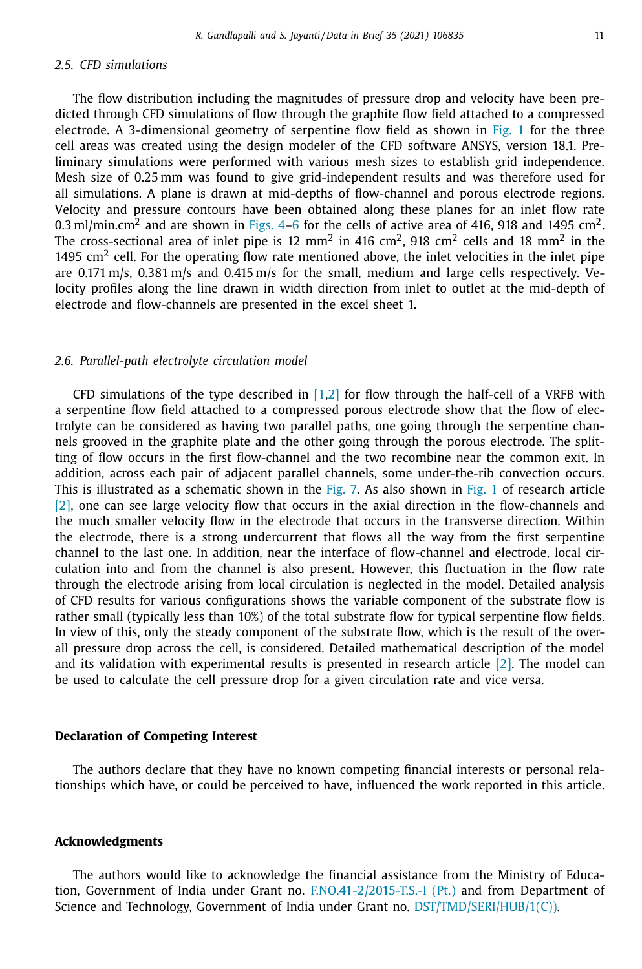#### *2.5. CFD simulations*

The flow distribution including the magnitudes of pressure drop and velocity have been predicted through CFD simulations of flow through the graphite flow field attached to a compressed electrode. A 3-dimensional geometry of serpentine flow field as shown in Fig. 1 for the three cell areas was created using the design modeler of the CFD software ANSYS, version 18.1. Preliminary simulations were performed with various mesh sizes to establish grid independence. Mesh size of 0.25 mm was found to give grid-independent results and was therefore used for all simulations. A plane is drawn at mid-depths of flow-channel and porous electrode regions. Velocity and pressure contours have been obtained along these planes for an inlet flow rate 0.3 ml/min.cm<sup>2</sup> and are shown in Figs. 4–6 for the cells of active area of 416, 918 and 1495 cm<sup>2</sup>. The cross-sectional area of inlet pipe is 12 mm<sup>2</sup> in 416 cm<sup>2</sup>, 918 cm<sup>2</sup> cells and 18 mm<sup>2</sup> in the 1495 cm<sup>2</sup> cell. For the operating flow rate mentioned above, the inlet velocities in the inlet pipe are 0.171 m/s, 0.381 m/s and 0.415 m/s for the small, medium and large cells respectively. Velocity profiles along the line drawn in width direction from inlet to outlet at the mid-depth of electrode and flow-channels are presented in the excel sheet 1.

#### *2.6. Parallel-path electrolyte circulation model*

CFD simulations of the type described in  $[1,2]$  for flow through the half-cell of a VRFB with a serpentine flow field attached to a compressed porous electrode show that the flow of electrolyte can be considered as having two parallel paths, one going through the serpentine channels grooved in the graphite plate and the other going through the porous electrode. The splitting of flow occurs in the first flow-channel and the two recombine near the common exit. In addition, across each pair of adjacent parallel channels, some under-the-rib convection occurs. This is illustrated as a schematic shown in the  $Fig. 7$ . As also shown in Fig. 1 of research article [2], one can see large velocity flow that occurs in the axial direction in the flow-channels and the much smaller velocity flow in the electrode that occurs in the transverse direction. Within the electrode, there is a strong undercurrent that flows all the way from the first serpentine channel to the last one. In addition, near the interface of flow-channel and electrode, local circulation into and from the channel is also present. However, this fluctuation in the flow rate through the electrode arising from local circulation is neglected in the model. Detailed analysis of CFD results for various configurations shows the variable component of the substrate flow is rather small (typically less than 10%) of the total substrate flow for typical serpentine flow fields. In view of this, only the steady component of the substrate flow, which is the result of the overall pressure drop across the cell, is considered. Detailed mathematical description of the model and its validation with experimental results is presented in research article  $[2]$ . The model can be used to calculate the cell pressure drop for a given circulation rate and vice versa.

#### **Declaration of Competing Interest**

The authors declare that they have no known competing financial interests or personal relationships which have, or could be perceived to have, influenced the work reported in this article.

#### **Acknowledgments**

The authors would like to acknowledge the financial assistance from the Ministry of Education, Government of India under Grant no. F.NO.41-2/2015-T.S.-I (Pt.) and from Department of Science and Technology, Government of India under Grant no. DST/TMD/SERI/HUB/1(C)).